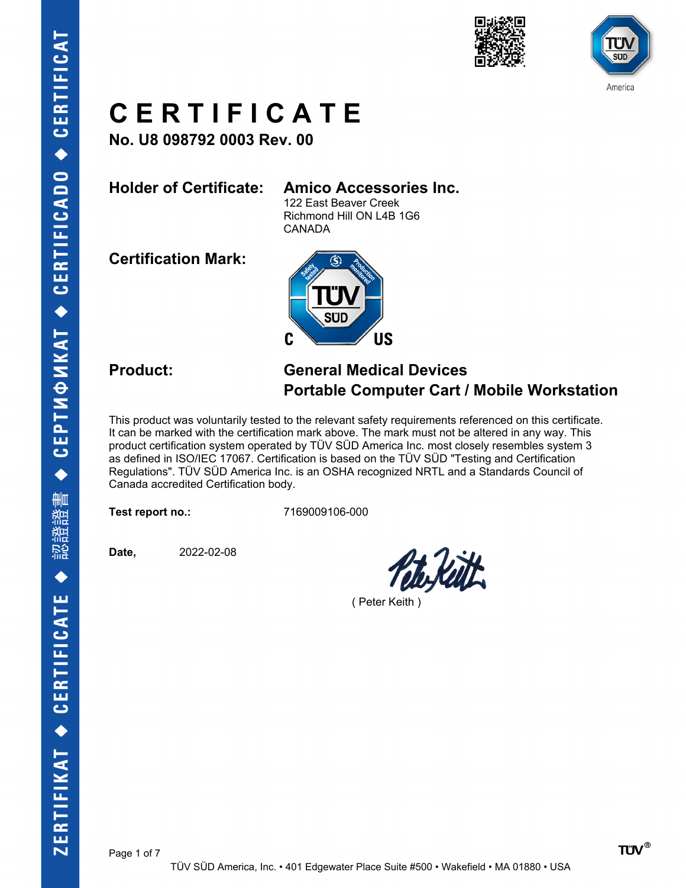





**No. U8 098792 0003 Rev. 00**

### **Holder of Certificate: Amico Accessories Inc.**

122 East Beaver Creek Richmond Hill ON L4B 1G6 CANADA

**Certification Mark:**



### **Product: General Medical Devices Portable Computer Cart / Mobile Workstation**

This product was voluntarily tested to the relevant safety requirements referenced on this certificate. It can be marked with the certification mark above. The mark must not be altered in any way. This product certification system operated by TÜV SÜD America Inc. most closely resembles system 3 as defined in ISO/IEC 17067. Certification is based on the TÜV SÜD "Testing and Certification Regulations". TÜV SÜD America Inc. is an OSHA recognized NRTL and a Standards Council of Canada accredited Certification body.

**Test report no.:** 7169009106-000

**Date,** 2022-02-08

( Peter Keith )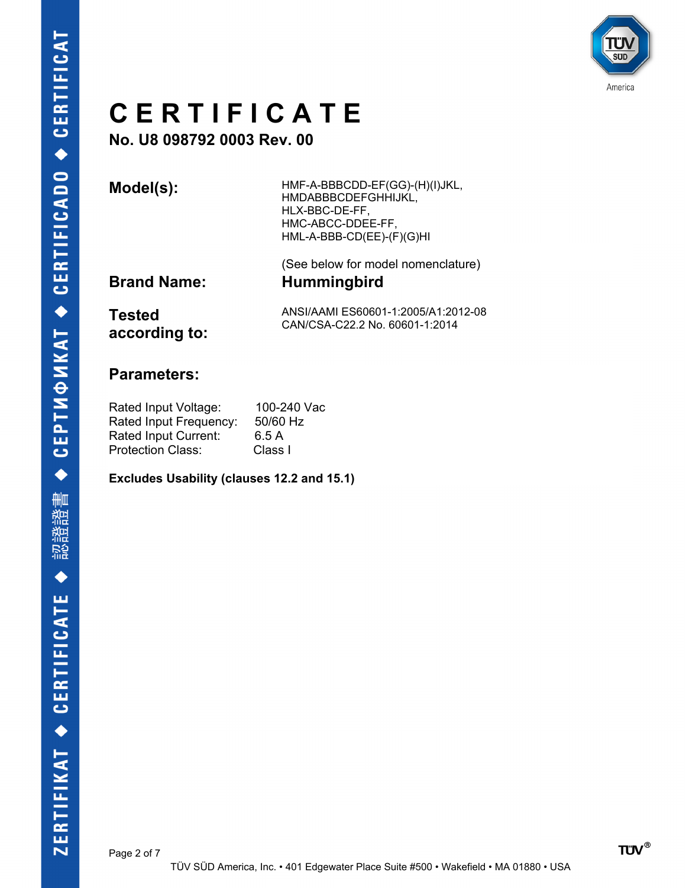

**No. U8 098792 0003 Rev. 00**

**Model(s):** HMF-A-BBBCDD-EF(GG)-(H)(I)JKL, HMDABBBCDEFGHHIJKL, HLX-BBC-DE-FF, HMC-ABCC-DDEE-FF, HML-A-BBB-CD(EE)-(F)(G)HI

(See below for model nomenclature) **Brand Name: Hummingbird**

**Tested according to:** ANSI/AAMI ES60601-1:2005/A1:2012-08 CAN/CSA-C22.2 No. 60601-1:2014

### **Parameters:**

Rated Input Voltage: 100-240 Vac Rated Input Frequency: 50/60 Hz Rated Input Current: 6.5 A Protection Class: Class I

**Excludes Usability (clauses 12.2 and 15.1)**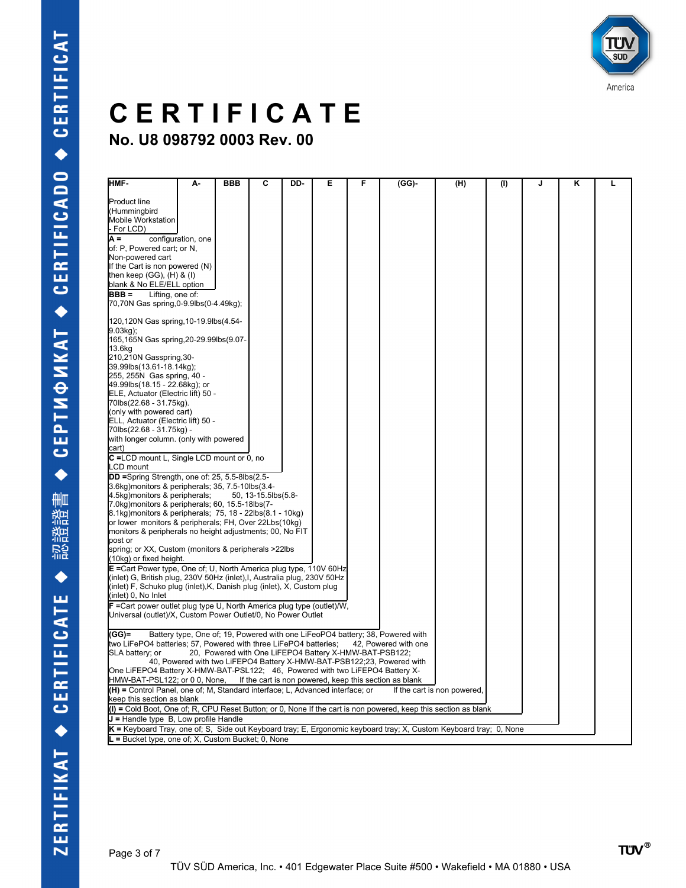

| Інмғ-                                                                                                                                              | А-                 | <b>BBB</b> | C                   | DD- | Е                                                      | F | (GG)-                                                                         | (H)                         | (1) | J | κ | L |
|----------------------------------------------------------------------------------------------------------------------------------------------------|--------------------|------------|---------------------|-----|--------------------------------------------------------|---|-------------------------------------------------------------------------------|-----------------------------|-----|---|---|---|
|                                                                                                                                                    |                    |            |                     |     |                                                        |   |                                                                               |                             |     |   |   |   |
| <b>Product line</b>                                                                                                                                |                    |            |                     |     |                                                        |   |                                                                               |                             |     |   |   |   |
| (Hummingbird                                                                                                                                       |                    |            |                     |     |                                                        |   |                                                                               |                             |     |   |   |   |
| Mobile Workstation                                                                                                                                 |                    |            |                     |     |                                                        |   |                                                                               |                             |     |   |   |   |
| For LCD)                                                                                                                                           |                    |            |                     |     |                                                        |   |                                                                               |                             |     |   |   |   |
| $A =$                                                                                                                                              | configuration, one |            |                     |     |                                                        |   |                                                                               |                             |     |   |   |   |
| of: P, Powered cart; or N,                                                                                                                         |                    |            |                     |     |                                                        |   |                                                                               |                             |     |   |   |   |
| Non-powered cart                                                                                                                                   |                    |            |                     |     |                                                        |   |                                                                               |                             |     |   |   |   |
| If the Cart is non powered (N)                                                                                                                     |                    |            |                     |     |                                                        |   |                                                                               |                             |     |   |   |   |
| then keep (GG), $(H)$ & $(I)$                                                                                                                      |                    |            |                     |     |                                                        |   |                                                                               |                             |     |   |   |   |
| blank & No ELE/ELL option                                                                                                                          |                    |            |                     |     |                                                        |   |                                                                               |                             |     |   |   |   |
| BBB =<br>Lifting, one of:                                                                                                                          |                    |            |                     |     |                                                        |   |                                                                               |                             |     |   |   |   |
| 70,70N Gas spring,0-9.9lbs(0-4.49kg);                                                                                                              |                    |            |                     |     |                                                        |   |                                                                               |                             |     |   |   |   |
| 120,120N Gas spring, 10-19.9lbs(4.54-                                                                                                              |                    |            |                     |     |                                                        |   |                                                                               |                             |     |   |   |   |
| $9.03$ kg);                                                                                                                                        |                    |            |                     |     |                                                        |   |                                                                               |                             |     |   |   |   |
| 165,165N Gas spring, 20-29.99lbs (9.07-                                                                                                            |                    |            |                     |     |                                                        |   |                                                                               |                             |     |   |   |   |
| 13.6kg                                                                                                                                             |                    |            |                     |     |                                                        |   |                                                                               |                             |     |   |   |   |
| 210,210N Gasspring,30-                                                                                                                             |                    |            |                     |     |                                                        |   |                                                                               |                             |     |   |   |   |
| 39.99lbs(13.61-18.14kg);                                                                                                                           |                    |            |                     |     |                                                        |   |                                                                               |                             |     |   |   |   |
| 255, 255N Gas spring, 40 -                                                                                                                         |                    |            |                     |     |                                                        |   |                                                                               |                             |     |   |   |   |
| 49.99lbs(18.15 - 22.68kg); or                                                                                                                      |                    |            |                     |     |                                                        |   |                                                                               |                             |     |   |   |   |
| ELE, Actuator (Electric lift) 50 -                                                                                                                 |                    |            |                     |     |                                                        |   |                                                                               |                             |     |   |   |   |
| 70lbs(22.68 - 31.75kg).                                                                                                                            |                    |            |                     |     |                                                        |   |                                                                               |                             |     |   |   |   |
| (only with powered cart)                                                                                                                           |                    |            |                     |     |                                                        |   |                                                                               |                             |     |   |   |   |
| ELL, Actuator (Electric lift) 50 -<br>70lbs(22.68 - 31.75kg) -                                                                                     |                    |            |                     |     |                                                        |   |                                                                               |                             |     |   |   |   |
| with longer column. (only with powered                                                                                                             |                    |            |                     |     |                                                        |   |                                                                               |                             |     |   |   |   |
| cart)                                                                                                                                              |                    |            |                     |     |                                                        |   |                                                                               |                             |     |   |   |   |
| C =LCD mount L, Single LCD mount or 0, no                                                                                                          |                    |            |                     |     |                                                        |   |                                                                               |                             |     |   |   |   |
| _CD mount                                                                                                                                          |                    |            |                     |     |                                                        |   |                                                                               |                             |     |   |   |   |
| DD =Spring Strength, one of: 25, 5.5-8lbs(2.5-                                                                                                     |                    |            |                     |     |                                                        |   |                                                                               |                             |     |   |   |   |
| 3.6kg) monitors & peripherals; 35, 7.5-10lbs (3.4-                                                                                                 |                    |            |                     |     |                                                        |   |                                                                               |                             |     |   |   |   |
| 4.5kg) monitors & peripherals;                                                                                                                     |                    |            | 50, 13-15.5lbs(5.8- |     |                                                        |   |                                                                               |                             |     |   |   |   |
| 7.0kg) monitors & peripherals; 60, 15.5-18lbs (7-                                                                                                  |                    |            |                     |     |                                                        |   |                                                                               |                             |     |   |   |   |
| 8.1kg) monitors & peripherals; 75, 18 - 22lbs (8.1 - 10kg)                                                                                         |                    |            |                     |     |                                                        |   |                                                                               |                             |     |   |   |   |
| or lower monitors & peripherals; FH, Over 22Lbs(10kg)                                                                                              |                    |            |                     |     |                                                        |   |                                                                               |                             |     |   |   |   |
| monitors & peripherals no height adjustments; 00, No FIT                                                                                           |                    |            |                     |     |                                                        |   |                                                                               |                             |     |   |   |   |
| bost or                                                                                                                                            |                    |            |                     |     |                                                        |   |                                                                               |                             |     |   |   |   |
| spring; or XX, Custom (monitors & peripherals >22lbs                                                                                               |                    |            |                     |     |                                                        |   |                                                                               |                             |     |   |   |   |
| (10kg) or fixed height.                                                                                                                            |                    |            |                     |     |                                                        |   |                                                                               |                             |     |   |   |   |
| E = Cart Power type, One of: U, North America plug type, 110V 60Hz                                                                                 |                    |            |                     |     |                                                        |   |                                                                               |                             |     |   |   |   |
| (inlet) G, British plug, 230V 50Hz (inlet), I, Australia plug, 230V 50Hz<br>(inlet) F, Schuko plug (inlet), K, Danish plug (inlet), X, Custom plug |                    |            |                     |     |                                                        |   |                                                                               |                             |     |   |   |   |
| (inlet) 0, No Inlet                                                                                                                                |                    |            |                     |     |                                                        |   |                                                                               |                             |     |   |   |   |
| $F$ = Cart power outlet plug type U, North America plug type (outlet)/W,                                                                           |                    |            |                     |     |                                                        |   |                                                                               |                             |     |   |   |   |
| Universal (outlet)/X, Custom Power Outlet/0, No Power Outlet                                                                                       |                    |            |                     |     |                                                        |   |                                                                               |                             |     |   |   |   |
|                                                                                                                                                    |                    |            |                     |     |                                                        |   |                                                                               |                             |     |   |   |   |
| $(GG) =$                                                                                                                                           |                    |            |                     |     |                                                        |   | Battery type, One of; 19, Powered with one LiFeoPO4 battery; 38, Powered with |                             |     |   |   |   |
| two LiFePO4 batteries; 57, Powered with three LiFePO4 batteries;                                                                                   |                    |            |                     |     |                                                        |   | 42. Powered with one                                                          |                             |     |   |   |   |
| SLA battery; or                                                                                                                                    |                    |            |                     |     | 20, Powered with One LiFEPO4 Battery X-HMW-BAT-PSB122; |   |                                                                               |                             |     |   |   |   |
|                                                                                                                                                    |                    |            |                     |     |                                                        |   | 40, Powered with two LiFEPO4 Battery X-HMW-BAT-PSB122;23, Powered with        |                             |     |   |   |   |
| One LiFEPO4 Battery X-HMW-BAT-PSL122; 46, Powered with two LiFEPO4 Battery X-                                                                      |                    |            |                     |     |                                                        |   |                                                                               |                             |     |   |   |   |
| HMW-BAT-PSL122; or 0 0, None,                                                                                                                      |                    |            |                     |     |                                                        |   | If the cart is non powered, keep this section as blank                        |                             |     |   |   |   |
| (H) = Control Panel, one of; M, Standard interface; L, Advanced interface; or                                                                      |                    |            |                     |     |                                                        |   |                                                                               | If the cart is non powered, |     |   |   |   |
| keep this section as blank                                                                                                                         |                    |            |                     |     |                                                        |   |                                                                               |                             |     |   |   |   |
| (I) = Cold Boot, One of; R, CPU Reset Button; or 0, None If the cart is non powered, keep this section as blank                                    |                    |            |                     |     |                                                        |   |                                                                               |                             |     |   |   |   |
| $J =$ Handle type $B$ , Low profile Handle                                                                                                         |                    |            |                     |     |                                                        |   |                                                                               |                             |     |   |   |   |
| $K$ = Keyboard Tray, one of; S, Side out Keyboard tray; E, Ergonomic keyboard tray; X, Custom Keyboard tray; 0, None                               |                    |            |                     |     |                                                        |   |                                                                               |                             |     |   |   |   |
| $L =$ Bucket type, one of; X, Custom Bucket; 0, None                                                                                               |                    |            |                     |     |                                                        |   |                                                                               |                             |     |   |   |   |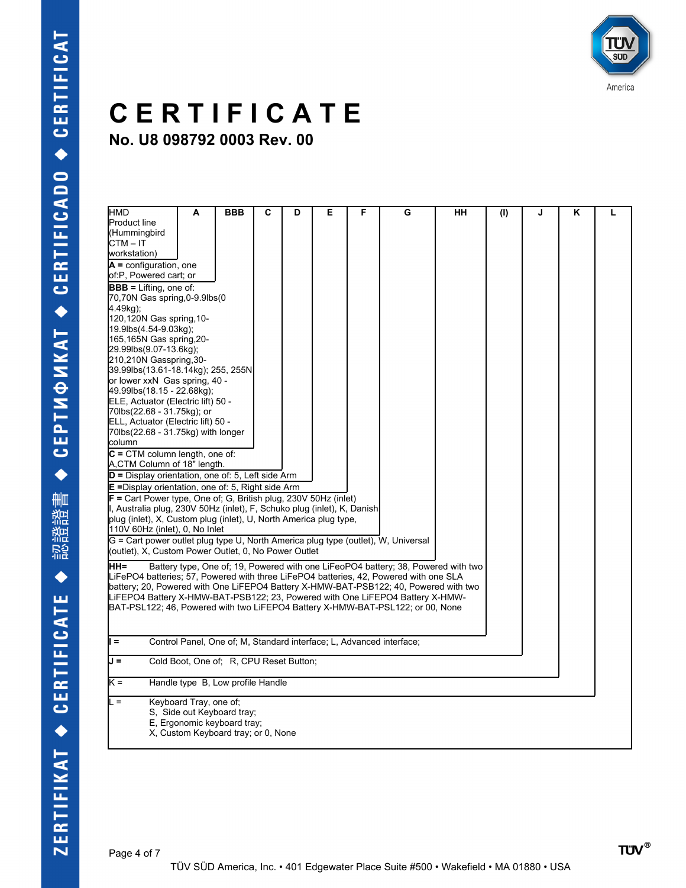

| HMD<br><b>Product line</b>                                                            | А                                                | <b>BBB</b> | С | D | Е | F | G                                                                                 | HН | (1) | J | Κ | L |
|---------------------------------------------------------------------------------------|--------------------------------------------------|------------|---|---|---|---|-----------------------------------------------------------------------------------|----|-----|---|---|---|
| (Hummingbird                                                                          |                                                  |            |   |   |   |   |                                                                                   |    |     |   |   |   |
| CTM-IT                                                                                |                                                  |            |   |   |   |   |                                                                                   |    |     |   |   |   |
| workstation)                                                                          |                                                  |            |   |   |   |   |                                                                                   |    |     |   |   |   |
| $A =$ configuration, one                                                              |                                                  |            |   |   |   |   |                                                                                   |    |     |   |   |   |
| of:P, Powered cart; or                                                                |                                                  |            |   |   |   |   |                                                                                   |    |     |   |   |   |
|                                                                                       |                                                  |            |   |   |   |   |                                                                                   |    |     |   |   |   |
| $BBB = Lifting$ , one of:<br>70,70N Gas spring,0-9.9lbs(0                             |                                                  |            |   |   |   |   |                                                                                   |    |     |   |   |   |
| 4.49kg);                                                                              |                                                  |            |   |   |   |   |                                                                                   |    |     |   |   |   |
|                                                                                       |                                                  |            |   |   |   |   |                                                                                   |    |     |   |   |   |
| 120,120N Gas spring, 10-                                                              |                                                  |            |   |   |   |   |                                                                                   |    |     |   |   |   |
|                                                                                       | 19.9lbs(4.54-9.03kg);<br>165,165N Gas spring,20- |            |   |   |   |   |                                                                                   |    |     |   |   |   |
| 29.99lbs(9.07-13.6kg);                                                                |                                                  |            |   |   |   |   |                                                                                   |    |     |   |   |   |
| 210,210N Gasspring,30-                                                                |                                                  |            |   |   |   |   |                                                                                   |    |     |   |   |   |
| 39.99lbs(13.61-18.14kg); 255, 255N                                                    |                                                  |            |   |   |   |   |                                                                                   |    |     |   |   |   |
| or lower xxN Gas spring, 40 -                                                         |                                                  |            |   |   |   |   |                                                                                   |    |     |   |   |   |
| 49.99lbs(18.15 - 22.68kg);                                                            |                                                  |            |   |   |   |   |                                                                                   |    |     |   |   |   |
| ELE, Actuator (Electric lift) 50 -                                                    |                                                  |            |   |   |   |   |                                                                                   |    |     |   |   |   |
| 70lbs(22.68 - 31.75kg); or                                                            |                                                  |            |   |   |   |   |                                                                                   |    |     |   |   |   |
| ELL, Actuator (Electric lift) 50 -                                                    |                                                  |            |   |   |   |   |                                                                                   |    |     |   |   |   |
| 70lbs(22.68 - 31.75kg) with longer                                                    |                                                  |            |   |   |   |   |                                                                                   |    |     |   |   |   |
| column                                                                                |                                                  |            |   |   |   |   |                                                                                   |    |     |   |   |   |
| $C = CTM$ column length, one of:                                                      |                                                  |            |   |   |   |   |                                                                                   |    |     |   |   |   |
| A,CTM Column of 18" length.                                                           |                                                  |            |   |   |   |   |                                                                                   |    |     |   |   |   |
| D = Display orientation, one of: 5, Left side Arm                                     |                                                  |            |   |   |   |   |                                                                                   |    |     |   |   |   |
| $E =$ Display orientation, one of: 5, Right side Arm                                  |                                                  |            |   |   |   |   |                                                                                   |    |     |   |   |   |
| $F =$ Cart Power type, One of; G, British plug, 230V 50Hz (inlet)                     |                                                  |            |   |   |   |   |                                                                                   |    |     |   |   |   |
| I, Australia plug, 230V 50Hz (inlet), F, Schuko plug (inlet), K, Danish               |                                                  |            |   |   |   |   |                                                                                   |    |     |   |   |   |
| plug (inlet), X, Custom plug (inlet), U, North America plug type,                     |                                                  |            |   |   |   |   |                                                                                   |    |     |   |   |   |
| 110V 60Hz (inlet), 0, No Inlet                                                        |                                                  |            |   |   |   |   |                                                                                   |    |     |   |   |   |
| G = Cart power outlet plug type U, North America plug type (outlet), W, Universal     |                                                  |            |   |   |   |   |                                                                                   |    |     |   |   |   |
| (outlet), X, Custom Power Outlet, 0, No Power Outlet                                  |                                                  |            |   |   |   |   |                                                                                   |    |     |   |   |   |
| ∣нн≡                                                                                  |                                                  |            |   |   |   |   | Battery type, One of: 19, Powered with one LiFeoPO4 battery; 38, Powered with two |    |     |   |   |   |
| LiFePO4 batteries: 57, Powered with three LiFePO4 batteries, 42, Powered with one SLA |                                                  |            |   |   |   |   |                                                                                   |    |     |   |   |   |
| battery; 20, Powered with One LiFEPO4 Battery X-HMW-BAT-PSB122; 40, Powered with two  |                                                  |            |   |   |   |   |                                                                                   |    |     |   |   |   |
| LIFEPO4 Battery X-HMW-BAT-PSB122; 23, Powered with One LIFEPO4 Battery X-HMW-         |                                                  |            |   |   |   |   |                                                                                   |    |     |   |   |   |
| BAT-PSL122; 46, Powered with two LiFEPO4 Battery X-HMW-BAT-PSL122; or 00, None        |                                                  |            |   |   |   |   |                                                                                   |    |     |   |   |   |
|                                                                                       |                                                  |            |   |   |   |   |                                                                                   |    |     |   |   |   |
|                                                                                       |                                                  |            |   |   |   |   |                                                                                   |    |     |   |   |   |
| ll =                                                                                  |                                                  |            |   |   |   |   | Control Panel, One of; M. Standard interface; L. Advanced interface;              |    |     |   |   |   |
|                                                                                       |                                                  |            |   |   |   |   |                                                                                   |    |     |   |   |   |
| $J =$                                                                                 | Cold Boot, One of; R, CPU Reset Button;          |            |   |   |   |   |                                                                                   |    |     |   |   |   |
|                                                                                       |                                                  |            |   |   |   |   |                                                                                   |    |     |   |   |   |
| k =                                                                                   | Handle type B, Low profile Handle                |            |   |   |   |   |                                                                                   |    |     |   |   |   |
| L =                                                                                   | Keyboard Tray, one of:                           |            |   |   |   |   |                                                                                   |    |     |   |   |   |
|                                                                                       | S, Side out Keyboard tray;                       |            |   |   |   |   |                                                                                   |    |     |   |   |   |
|                                                                                       | E, Ergonomic keyboard tray;                      |            |   |   |   |   |                                                                                   |    |     |   |   |   |
|                                                                                       | X, Custom Keyboard tray; or 0, None              |            |   |   |   |   |                                                                                   |    |     |   |   |   |
|                                                                                       |                                                  |            |   |   |   |   |                                                                                   |    |     |   |   |   |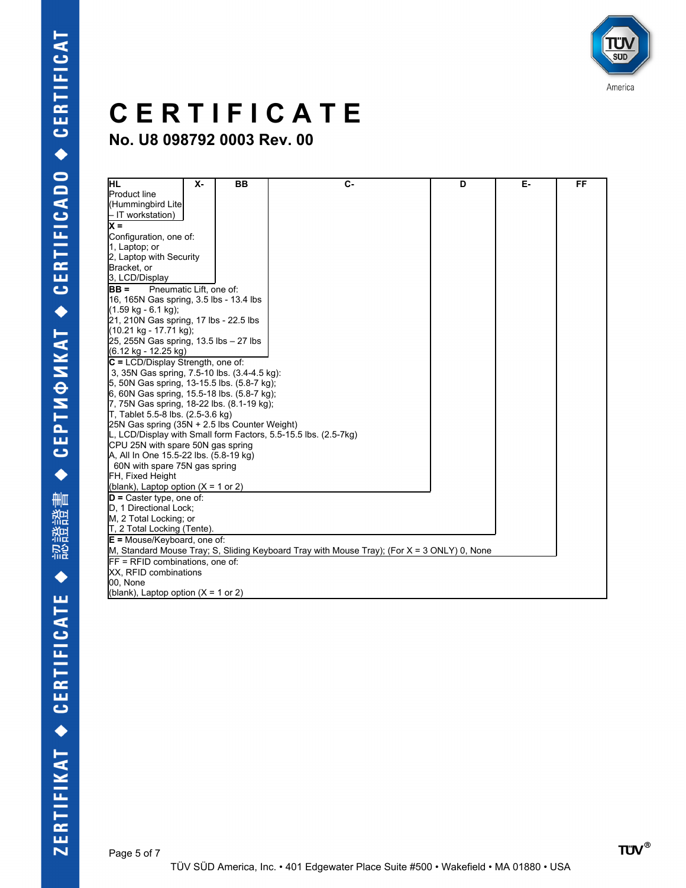

| IнL                                              | Х- | <b>BB</b> | $C -$                                                                                         | D | Е. | FF |  |  |  |
|--------------------------------------------------|----|-----------|-----------------------------------------------------------------------------------------------|---|----|----|--|--|--|
| <b>Product line</b>                              |    |           |                                                                                               |   |    |    |  |  |  |
| (Hummingbird Lite                                |    |           |                                                                                               |   |    |    |  |  |  |
| - IT workstation)                                |    |           |                                                                                               |   |    |    |  |  |  |
| <b>x</b> =                                       |    |           |                                                                                               |   |    |    |  |  |  |
| Configuration, one of:                           |    |           |                                                                                               |   |    |    |  |  |  |
| 1, Laptop; or                                    |    |           |                                                                                               |   |    |    |  |  |  |
| 2, Laptop with Security                          |    |           |                                                                                               |   |    |    |  |  |  |
| Bracket, or                                      |    |           |                                                                                               |   |    |    |  |  |  |
| 3, LCD/Display                                   |    |           |                                                                                               |   |    |    |  |  |  |
| $IBB =$<br>Pneumatic Lift, one of:               |    |           |                                                                                               |   |    |    |  |  |  |
| 16, 165N Gas spring, 3.5 lbs - 13.4 lbs          |    |           |                                                                                               |   |    |    |  |  |  |
| (1.59 kg - 6.1 kg);                              |    |           |                                                                                               |   |    |    |  |  |  |
| 21, 210N Gas spring, 17 lbs - 22.5 lbs           |    |           |                                                                                               |   |    |    |  |  |  |
| (10.21 kg - 17.71 kg);                           |    |           |                                                                                               |   |    |    |  |  |  |
| 25, 255N Gas spring, 13.5 lbs $-27$ lbs          |    |           |                                                                                               |   |    |    |  |  |  |
| (6.12 kg - 12.25 kg)                             |    |           |                                                                                               |   |    |    |  |  |  |
| $ C = LCD/D$ isplay Strength, one of:            |    |           |                                                                                               |   |    |    |  |  |  |
| 3, 35N Gas spring, 7.5-10 lbs. (3.4-4.5 kg):     |    |           |                                                                                               |   |    |    |  |  |  |
| 5, 50N Gas spring, 13-15.5 lbs. (5.8-7 kg);      |    |           |                                                                                               |   |    |    |  |  |  |
| 6, 60N Gas spring, 15.5-18 lbs. (5.8-7 kg);      |    |           |                                                                                               |   |    |    |  |  |  |
| 7, 75N Gas spring, 18-22 lbs. (8.1-19 kg);       |    |           |                                                                                               |   |    |    |  |  |  |
| $\mathsf{T}$ , Tablet 5.5-8 lbs. (2.5-3.6 kg)    |    |           |                                                                                               |   |    |    |  |  |  |
| 25N Gas spring $(35N + 2.5)$ lbs Counter Weight) |    |           |                                                                                               |   |    |    |  |  |  |
|                                                  |    |           | L, LCD/Display with Small form Factors, 5.5-15.5 lbs. (2.5-7kg)                               |   |    |    |  |  |  |
| CPU 25N with spare 50N gas spring                |    |           |                                                                                               |   |    |    |  |  |  |
| A, All In One 15.5-22 lbs. (5.8-19 kg)           |    |           |                                                                                               |   |    |    |  |  |  |
| 60N with spare 75N gas spring                    |    |           |                                                                                               |   |    |    |  |  |  |
| FH, Fixed Height                                 |    |           |                                                                                               |   |    |    |  |  |  |
| (blank), Laptop option $(X = 1$ or 2)            |    |           |                                                                                               |   |    |    |  |  |  |
| $D =$ Caster type, one of:                       |    |           |                                                                                               |   |    |    |  |  |  |
| D. 1 Directional Lock:                           |    |           |                                                                                               |   |    |    |  |  |  |
| M, 2 Total Locking; or                           |    |           |                                                                                               |   |    |    |  |  |  |
| T, 2 Total Locking (Tente).                      |    |           |                                                                                               |   |    |    |  |  |  |
| $E = Mouse/Keyboard$ , one of:                   |    |           |                                                                                               |   |    |    |  |  |  |
|                                                  |    |           | M, Standard Mouse Tray; S, Sliding Keyboard Tray with Mouse Tray); (For $X = 3$ ONLY) 0, None |   |    |    |  |  |  |
| $IF = RFID$ combinations, one of:                |    |           |                                                                                               |   |    |    |  |  |  |
| <b>XX.</b> RFID combinations                     |    |           |                                                                                               |   |    |    |  |  |  |
| 00, None                                         |    |           |                                                                                               |   |    |    |  |  |  |
| (blank), Laptop option $(X = 1$ or 2)            |    |           |                                                                                               |   |    |    |  |  |  |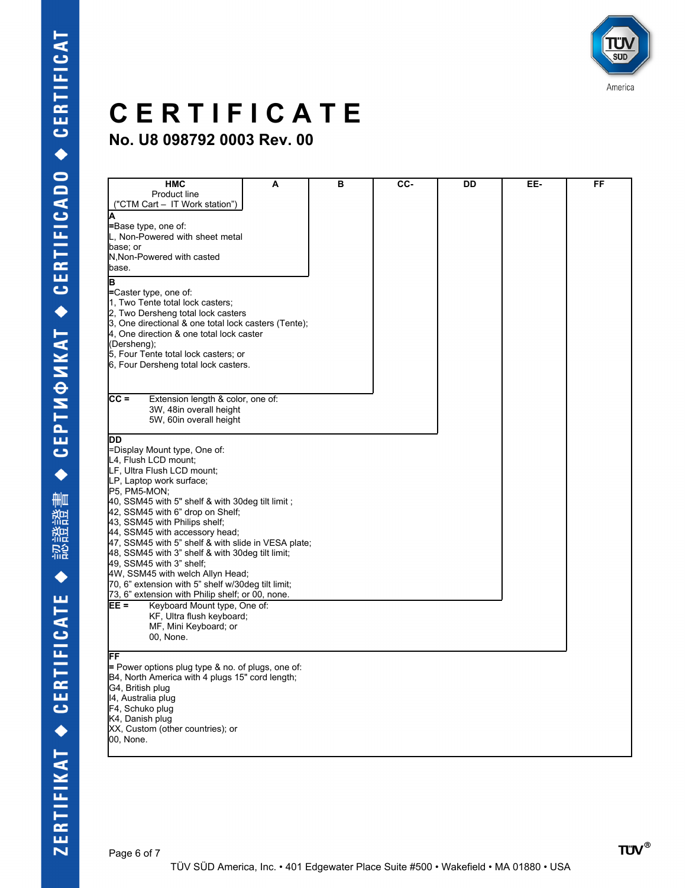

| <b>HMC</b>                                           | A | в | CC- | DD | EE- | FF |
|------------------------------------------------------|---|---|-----|----|-----|----|
| Product line                                         |   |   |     |    |     |    |
|                                                      |   |   |     |    |     |    |
| ("CTM Cart - IT Work station")                       |   |   |     |    |     |    |
| Δ                                                    |   |   |     |    |     |    |
| =Base type, one of:                                  |   |   |     |    |     |    |
| L. Non-Powered with sheet metal                      |   |   |     |    |     |    |
| base; or                                             |   |   |     |    |     |    |
| N, Non-Powered with casted                           |   |   |     |    |     |    |
| base.                                                |   |   |     |    |     |    |
|                                                      |   |   |     |    |     |    |
| в                                                    |   |   |     |    |     |    |
| =Caster type, one of:                                |   |   |     |    |     |    |
| 1, Two Tente total lock casters:                     |   |   |     |    |     |    |
| 2, Two Dersheng total lock casters                   |   |   |     |    |     |    |
| 3, One directional & one total lock casters (Tente); |   |   |     |    |     |    |
| 4, One direction & one total lock caster             |   |   |     |    |     |    |
| (Dersheng);                                          |   |   |     |    |     |    |
| 5, Four Tente total lock casters; or                 |   |   |     |    |     |    |
| 6, Four Dersheng total lock casters.                 |   |   |     |    |     |    |
|                                                      |   |   |     |    |     |    |
|                                                      |   |   |     |    |     |    |
|                                                      |   |   |     |    |     |    |
| $CC =$<br>Extension length & color, one of:          |   |   |     |    |     |    |
| 3W, 48in overall height                              |   |   |     |    |     |    |
| 5W, 60in overall height                              |   |   |     |    |     |    |
|                                                      |   |   |     |    |     |    |
| DD                                                   |   |   |     |    |     |    |
| =Display Mount type, One of:                         |   |   |     |    |     |    |
| L4, Flush LCD mount:                                 |   |   |     |    |     |    |
| LF, Ultra Flush LCD mount:                           |   |   |     |    |     |    |
| LP, Laptop work surface;                             |   |   |     |    |     |    |
| P5, PM5-MON;                                         |   |   |     |    |     |    |
| 40, SSM45 with 5" shelf & with 30deg tilt limit;     |   |   |     |    |     |    |
| 42, SSM45 with 6" drop on Shelf;                     |   |   |     |    |     |    |
|                                                      |   |   |     |    |     |    |
| 43, SSM45 with Philips shelf;                        |   |   |     |    |     |    |
| 44, SSM45 with accessory head;                       |   |   |     |    |     |    |
| 47, SSM45 with 5" shelf & with slide in VESA plate;  |   |   |     |    |     |    |
| 48, SSM45 with 3" shelf & with 30deg tilt limit;     |   |   |     |    |     |    |
| $49$ , SSM45 with 3" shelf;                          |   |   |     |    |     |    |
| 4W, SSM45 with welch Allyn Head;                     |   |   |     |    |     |    |
| 70, 6" extension with 5" shelf w/30deg tilt limit;   |   |   |     |    |     |    |
| 73, 6" extension with Philip shelf; or 00, none.     |   |   |     |    |     |    |
| EE =<br>Keyboard Mount type, One of:                 |   |   |     |    |     |    |
| KF, Ultra flush keyboard;                            |   |   |     |    |     |    |
| MF, Mini Keyboard; or                                |   |   |     |    |     |    |
| 00, None.                                            |   |   |     |    |     |    |
|                                                      |   |   |     |    |     |    |
| FF                                                   |   |   |     |    |     |    |
| $=$ Power options plug type & no. of plugs, one of:  |   |   |     |    |     |    |
| B4, North America with 4 plugs 15" cord length;      |   |   |     |    |     |    |
| G4, British plug                                     |   |   |     |    |     |    |
|                                                      |   |   |     |    |     |    |
| 14, Australia plug                                   |   |   |     |    |     |    |
| F4, Schuko plug                                      |   |   |     |    |     |    |
| K4, Danish plug                                      |   |   |     |    |     |    |
| XX, Custom (other countries); or                     |   |   |     |    |     |    |
| 00, None.                                            |   |   |     |    |     |    |
|                                                      |   |   |     |    |     |    |
|                                                      |   |   |     |    |     |    |